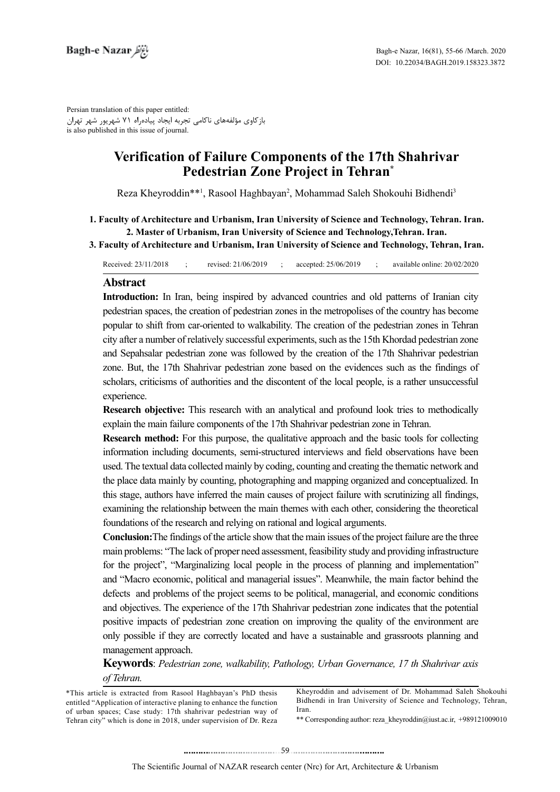Persian translation of this paper entitled: بازکاوی مؤلفههای ناکامی تجربه ایجاد پیادهراه 71 شهریور شهر تهران is also published in this issue of journal.

# **Verification of Failure Components of the 17th Shahrivar Pedestrian Zone Project in Tehran<sup>\*</sup>**

Reza Kheyroddin\*\*<sup>1</sup>, Rasool Haghbayan<sup>2</sup>, Mohammad Saleh Shokouhi Bidhendi<sup>3</sup>

- 1. Faculty of Architecture and Urbanism, Iran University of Science and Technology, Tehran. Iran. 2. Master of Urbanism, Iran University of Science and Technology, Tehran. Iran.
- **3. Faculty of Architecture and Urbanism, Iran University of Science and Technology, Tehran, Iran.**

Received:  $23/11/2018$  : revised:  $21/06/2019$  : accepted:  $25/06/2019$  : available online:  $20/02/2020$ 

#### **Abstract**

**Introduction:** In Iran, being inspired by advanced countries and old patterns of Iranian city pedestrian spaces, the creation of pedestrian zones in the metropolises of the country has become popular to shift from car-oriented to walkability. The creation of the pedestrian zones in Tehran city after a number of relatively successful experiments, such as the 15th Khordad pedestrian zone and Sepahsalar pedestrian zone was followed by the creation of the 17th Shahrivar pedestrian zone. But, the 17th Shahrivar pedestrian zone based on the evidences such as the findings of scholars, criticisms of authorities and the discontent of the local people, is a rather unsuccessful experience.

**Research objective:** This research with an analytical and profound look tries to methodically explain the main failure components of the 17th Shahrivar pedestrian zone in Tehran.

**Research method:** For this purpose, the qualitative approach and the basic tools for collecting information including documents, semi-structured interviews and field observations have been used. The textual data collected mainly by coding, counting and creating the thematic network and the place data mainly by counting, photographing and mapping organized and conceptualized. In this stage, authors have inferred the main causes of project failure with scrutinizing all findings, examining the relationship between the main themes with each other, considering the theoretical foundations of the research and relying on rational and logical arguments.

**Conclusion:** The findings of the article show that the main issues of the project failure are the three main problems: "The lack of proper need assessment, feasibility study and providing infrastructure for the project", "Marginalizing local people in the process of planning and implementation" and "Macro economic, political and managerial issues". Meanwhile, the main factor behind the defects and problems of the project seems to be political, managerial, and economic conditions and objectives. The experience of the 17th Shahrivar pedestrian zone indicates that the potential positive impacts of pedestrian zone creation on improving the quality of the environment are only possible if they are correctly located and have a sustainable and grassroots planning and management approach.

*Keywords: Pedestrian zone, walkability, Pathology, Urban Governance, 17 th Shahrivar axis .Tehran of*

Kheyroddin and advisement of Dr. Mohammad Saleh Shokouhi Bidhendi in Iran University of Science and Technology, Tehran, .Iran

\*\* Corresponding author: reza kheyroddin@iust.ac.ir, +989121009010

<sup>\*</sup>This article is extracted from Rasool Haghbayan's PhD thesis entitled "Application of interactive planing to enhance the function of urban spaces; Case study: 17th shahrivar pedestrian way of Tehran city" which is done in 2018, under supervision of Dr. Reza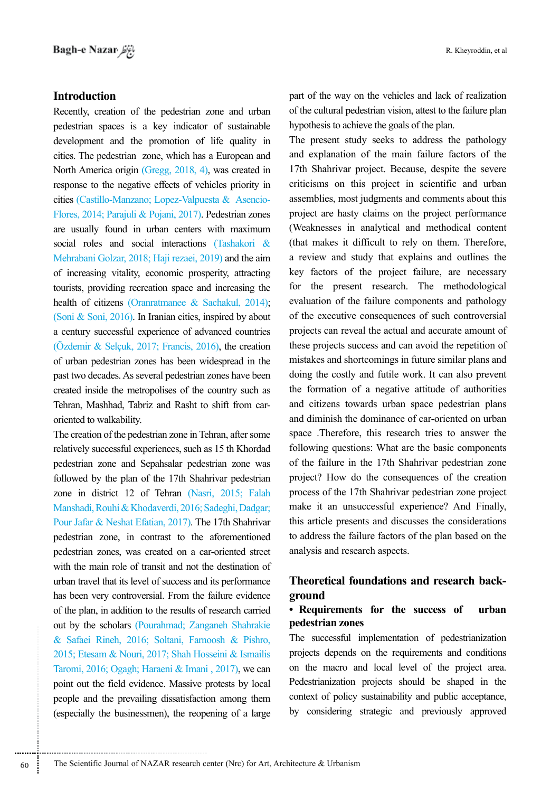#### **Introduction**

Recently, creation of the pedestrian zone and urban pedestrian spaces is a key indicator of sustainable development and the promotion of life quality in cities. The pedestrian zone, which has a European and North America origin (Gregg, 2018, 4), was created in response to the negative effects of vehicles priority in Flores, 2014; Parajuli & Pojani, 2017). Pedestrian zones cities (Castillo-Manzano; Lopez-Valpuesta & Asencioare usually found in urban centers with maximum social roles and social interactions (Tashakori  $\&$ Mehrabani Golzar, 2018; Haji rezaei, 2019) and the aim of increasing vitality, economic prosperity, attracting tourists, providing recreation space and increasing the health of citizens (Oranratmanee  $\&$  Sachakul, 2014); (Soni & Soni, 2016). In Iranian cities, inspired by about a century successful experience of advanced countries (Özdemir & Selçuk, 2017; Francis, 2016), the creation of urban pedestrian zones has been widespread in the past two decades. As several pedestrian zones have been created inside the metropolises of the country such as Tehran, Mashhad, Tabriz and Rasht to shift from car-<br>oriented to walkability.

The creation of the pedestrian zone in Tehran, after some relatively successful experiences, such as 15 th Khordad pedestrian zone and Sepahsalar pedestrian zone was followed by the plan of the 17th Shahrivar pedestrian zone in district 12 of Tehran  $(Nasri, 2015; Falah)$ Manshadi, Rouhi & Khodaverdi, 2016; Sadeghi, Dadgar; Pour Jafar & Neshat Efatian, 2017). The 17th Shahrivar pedestrian zone, in contrast to the aforementioned pedestrian zones, was created on a car-oriented street with the main role of transit and not the destination of urban travel that its level of success and its performance has been very controversial. From the failure evidence of the plan, in addition to the results of research carried out by the scholars (Pourahmad: Zanganeh Shahrakie & Safaei Rineh, 2016; Soltani, Farnoosh & Pishro, 2015; Etesam & Nouri, 2017; Shah Hosseini & Ismailis Taromi, 2016; Ogagh; Haraeni & Imani, 2017), we can point out the field evidence. Massive protests by local people and the prevailing dissatisfaction among them (especially the businessmen), the reopening of a large

............................................................

part of the way on the vehicles and lack of realization of the cultural pedestrian vision, attest to the failure plan hypothesis to achieve the goals of the plan.

The present study seeks to address the pathology and explanation of the main failure factors of the 17th Shahrivar project. Because, despite the severe criticisms on this project in scientific and urban assemblies, most judgments and comments about this project are hasty claims on the project performance (Weaknesses in analytical and methodical content (that makes it difficult to rely on them. Therefore, a review and study that explains and outlines the key factors of the project failure, are necessary for the present research. The methodological evaluation of the failure components and pathology of the executive consequences of such controversial projects can reveal the actual and accurate amount of these projects success and can avoid the repetition of mistakes and shortcomings in future similar plans and doing the costly and futile work. It can also prevent the formation of a negative attitude of authorities and citizens towards urban space pedestrian plans and diminish the dominance of car-oriented on urban space .Therefore, this research tries to answer the following questions: What are the basic components of the failure in the 17th Shahrivar pedestrian zone project? How do the consequences of the creation process of the 17th Shahrivar pedestrian zone project make it an unsuccessful experience? And Finally, this article presents and discusses the considerations to address the failure factors of the plan based on the analysis and research aspects.

### **Theoretical foundations and research background**

#### • Requirements for the success of urban *pedestrian* zones

The successful implementation of pedestrianization projects depends on the requirements and conditions on the macro and local level of the project area. Pedestrianization projects should be shaped in the context of policy sustainability and public acceptance. by considering strategic and previously approved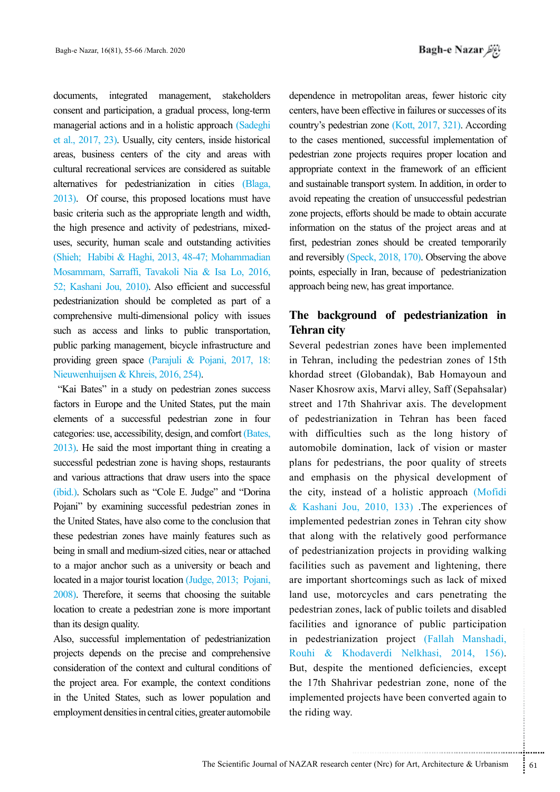documents, integrated management, stakeholders consent and participation, a gradual process, long-term managerial actions and in a holistic approach (Sadeghi et al., 2017, 23). Usually, city centers, inside historical areas, business centers of the city and areas with cultural recreational services are considered as suitable alternatives for pedestrianization in cities (Blaga,  $2013$ . Of course, this proposed locations must have basic criteria such as the appropriate length and width, uses, security, human scale and outstanding activities the high presence and activity of pedestrians, mixed-(Shieh; Habibi & Haghi, 2013, 48-47; Mohammadian Mosammam, Sarraffi, Tavakoli Nia & Isa Lo, 2016, 52; Kashani Jou, 2010). Also efficient and successful pedestrianization should be completed as part of a comprehensive multi-dimensional policy with issues such as access and links to public transportation, public parking management, bicycle infrastructure and providing green space (Parajuli & Pojani, 2017, 18: Nieuwenhuijsen & Khreis, 2016, 254).

"Kai Bates" in a study on pedestrian zones success factors in Europe and the United States, put the main elements of a successful pedestrian zone in four categories: use, accessibility, design, and comfort (Bates,  $2013$ . He said the most important thing in creating a successful pedestrian zone is having shops, restaurants and various attractions that draw users into the space (ibid.). Scholars such as "Cole E. Judge" and "Dorina" Pojani" by examining successful pedestrian zones in the United States, have also come to the conclusion that these pedestrian zones have mainly features such as being in small and medium-sized cities, near or attached to a major anchor such as a university or beach and located in a major tourist location (Judge, 2013; Pojani,  $2008$ ). Therefore, it seems that choosing the suitable location to create a pedestrian zone is more important than its design quality.

Also, successful implementation of pedestrianization projects depends on the precise and comprehensive consideration of the context and cultural conditions of the project area. For example, the context conditions in the United States, such as lower population and employment densities in central cities, greater automobile

dependence in metropolitan areas, fewer historic city centers, have been effective in failures or successes of its country's pedestrian zone  $(Kott, 2017, 321)$ . According to the cases mentioned, successful implementation of pedestrian zone projects requires proper location and appropriate context in the framework of an efficient and sustainable transport system. In addition, in order to avoid repeating the creation of unsuccessful pedestrian zone projects, efforts should be made to obtain accurate information on the status of the project areas and at first, pedestrian zones should be created temporarily and reversibly  $(Speck, 2018, 170)$ . Observing the above points, especially in Iran, because of pedestrianization approach being new, has great importance.

# The background of pedestrianization in **Tehran** city

zation project (Fallah Manshadi,<br>
nodaverdi Nelkhasi, 2014, 156).<br>
he mentioned deficiencies, except<br>
rivar pedestrian zone, none of the<br>
rojects have been converted again to<br>
senter (Nrc) for Art, Architecture & Urbanism<br> Several pedestrian zones have been implemented in Tehran, including the pedestrian zones of 15th khordad street (Globandak), Bab Homayoun and Naser Khosrow axis, Marvi alley, Saff (Sepahsalar) street and 17th Shahrivar axis. The development of pedestrianization in Tehran has been faced with difficulties such as the long history of automobile domination, lack of vision or master plans for pedestrians, the poor quality of streets and emphasis on the physical development of the city, instead of a holistic approach (Mofidi  $&$  Kashani Jou, 2010, 133) The experiences of implemented pedestrian zones in Tehran city show that along with the relatively good performance of pedestrianization projects in providing walking facilities such as pavement and lightening, there are important shortcomings such as lack of mixed land use, motorcycles and cars penetrating the pedestrian zones, lack of public toilets and disabled facilities and ignorance of public participation in pedestrianization project (Fallah Manshadi, Rouhi & Khodaverdi Nelkhasi, 2014, 156). But, despite the mentioned deficiencies, except the 17th Shahrivar pedestrian zone, none of the implemented projects have been converted again to the riding way.

The Scientific Journal of NAZAR research center (Nrc) for Art, Architecture & Urbanism  $\frac{1}{2}$  61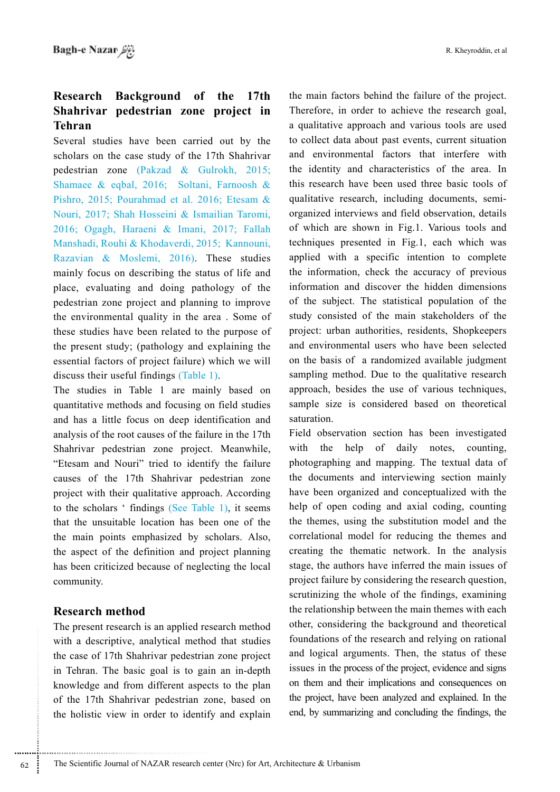# **Research Background of the 17th Shahrivar pedestrian zone project in Tehran**

Several studies have been carried out by the scholars on the case study of the 17th Shahrivar pedestrian zone (Pakzad & Gulrokh, 2015; Shamaee & eqbal, 2016; Soltani, Farnoosh & Pishro, 2015; Pourahmad et al. 2016; Etesam & Nouri, 2017; Shah Hosseini & Ismailian Taromi, 2016; Ogagh, Haraeni & Imani, 2017; Fallah Manshadi, Rouhi & Khodaverdi, 2015; Kannouni, Razavian & Moslemi, 2016). These studies mainly focus on describing the status of life and place, evaluating and doing pathology of the pedestrian zone project and planning to improve the environmental quality in the area. Some of these studies have been related to the purpose of the present study; (pathology and explaining the essential factors of project failure) which we will discuss their useful findings  $(Table 1)$ .

The studies in Table 1 are mainly based on quantitative methods and focusing on field studies and has a little focus on deep identification and analysis of the root causes of the failure in the 17th Shahrivar pedestrian zone project. Meanwhile, "Etesam and Nouri" tried to identify the failure causes of the 17th Shahrivar pedestrian zone project with their qualitative approach. According to the scholars 'findings (See Table 1), it seems that the unsuitable location has been one of the the main points emphasized by scholars. Also, the aspect of the definition and project planning has been criticized because of neglecting the local .community

#### **method Research**

The present research is an applied research method with a descriptive, analytical method that studies the case of 17th Shahrivar pedestrian zone project in Tehran. The basic goal is to gain an in-depth knowledge and from different aspects to the plan of the 17th Shahrivar pedestrian zone, based on the holistic view in order to identify and explain the main factors behind the failure of the project. Therefore, in order to achieve the research goal. a qualitative approach and various tools are used to collect data about past events, current situation and environmental factors that interfere with the identity and characteristics of the area. In this research have been used three basic tools of organized interviews and field observation, details qualitative research, including documents, semiof which are shown in Fig.1. Various tools and techniques presented in Fig.1, each which was applied with a specific intention to complete the information, check the accuracy of previous information and discover the hidden dimensions of the subject. The statistical population of the study consisted of the main stakeholders of the project: urban authorities, residents, Shopkeepers and environmental users who have been selected on the basis of a randomized available judgment sampling method. Due to the qualitative research approach, besides the use of various techniques, sample size is considered based on theoretical .saturation

Field observation section has been investigated with the help of daily notes, counting, photographing and mapping. The textual data of the documents and interviewing section mainly have been organized and conceptualized with the help of open coding and axial coding, counting the themes, using the substitution model and the correlational model for reducing the themes and creating the thematic network. In the analysis stage, the authors have inferred the main issues of project failure by considering the research question, scrutinizing the whole of the findings, examining the relationship between the main themes with each other, considering the background and theoretical foundations of the research and relying on rational and logical arguments. Then, the status of these issues in the process of the project, evidence and signs on them and their implications and consequences on the project, have been analyzed and explained. In the end, by summarizing and concluding the findings, the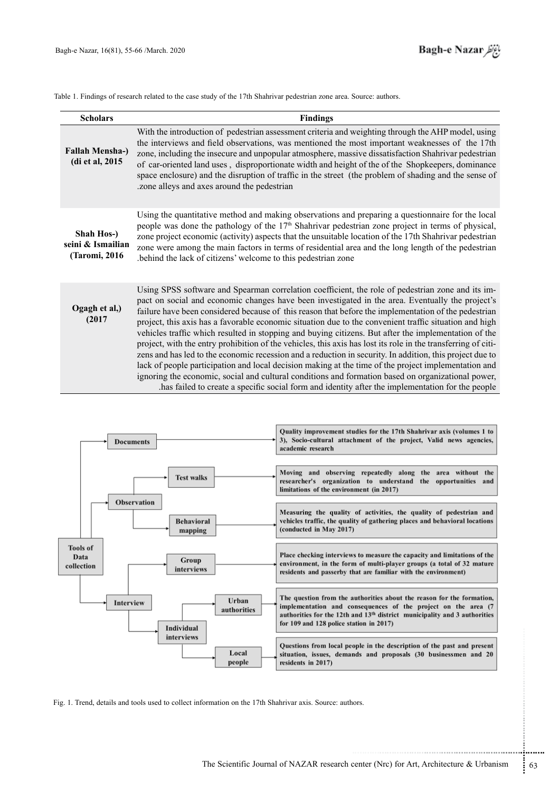| <b>Scholars</b>                                   | <b>Findings</b>                                                                                                                                                                                                                                                                                                                                                                                                                                                                                                                                                                                                                                                                                                                                                                                                                                                                                                                                                                                                                                                                 |
|---------------------------------------------------|---------------------------------------------------------------------------------------------------------------------------------------------------------------------------------------------------------------------------------------------------------------------------------------------------------------------------------------------------------------------------------------------------------------------------------------------------------------------------------------------------------------------------------------------------------------------------------------------------------------------------------------------------------------------------------------------------------------------------------------------------------------------------------------------------------------------------------------------------------------------------------------------------------------------------------------------------------------------------------------------------------------------------------------------------------------------------------|
| <b>Fallah Mensha-)</b><br>(di et al, 2015)        | With the introduction of pedestrian assessment criteria and weighting through the AHP model, using<br>the interviews and field observations, was mentioned the most important weaknesses of the 17th<br>zone, including the insecure and unpopular atmosphere, massive dissatisfaction Shahrivar pedestrian<br>of car-oriented land uses, disproportionate width and height of the of the Shopkeepers, dominance<br>space enclosure) and the disruption of traffic in the street (the problem of shading and the sense of<br>zone alleys and axes around the pedestrian                                                                                                                                                                                                                                                                                                                                                                                                                                                                                                         |
| Shah Hos-)<br>seini & Ismailian<br>(Taromi, 2016) | Using the quantitative method and making observations and preparing a questionnaire for the local<br>people was done the pathology of the 17 <sup>th</sup> Shahrivar pedestrian zone project in terms of physical,<br>zone project economic (activity) aspects that the unsuitable location of the 17th Shahrivar pedestrian<br>zone were among the main factors in terms of residential area and the long length of the pedestrian<br>behind the lack of citizens' welcome to this pedestrian zone.                                                                                                                                                                                                                                                                                                                                                                                                                                                                                                                                                                            |
| Ogagh et al,)<br>(2017)                           | Using SPSS software and Spearman correlation coefficient, the role of pedestrian zone and its im-<br>pact on social and economic changes have been investigated in the area. Eventually the project's<br>failure have been considered because of this reason that before the implementation of the pedestrian<br>project, this axis has a favorable economic situation due to the convenient traffic situation and high<br>vehicles traffic which resulted in stopping and buying citizens. But after the implementation of the<br>project, with the entry prohibition of the vehicles, this axis has lost its role in the transferring of citi-<br>zens and has led to the economic recession and a reduction in security. In addition, this project due to<br>lack of people participation and local decision making at the time of the project implementation and<br>ignoring the economic, social and cultural conditions and formation based on organizational power,<br>has failed to create a specific social form and identity after the implementation for the people. |

Table 1. Findings of research related to the case study of the 17th Shahrivar pedestrian zone area. Source: authors.



Fig. 1. Trend, details and tools used to collect information on the 17th Shahrivar axis. Source: authors.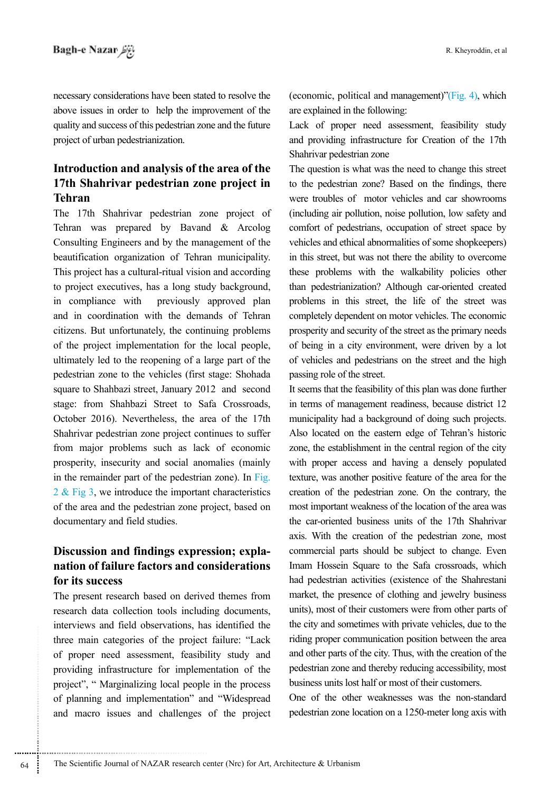necessary considerations have been stated to resolve the above issues in order to help the improvement of the quality and success of this pedestrian zone and the future project of urban pedestrianization.

## **Introduction and analysis of the area of the 17th Shahrivar pedestrian zone project in Tehran**

The 17th Shahrivar pedestrian zone project of Tehran was prepared by Bavand  $\&$  Arcolog Consulting Engineers and by the management of the beautification organization of Tehran municipality. This project has a cultural-ritual vision and according to project executives, has a long study background, in compliance with previously approved plan and in coordination with the demands of Tehran citizens. But unfortunately, the continuing problems of the project implementation for the local people. ultimately led to the reopening of a large part of the pedestrian zone to the vehicles (first stage: Shohada square to Shahbazi street, January 2012 and second stage: from Shahbazi Street to Safa Crossroads, October 2016). Nevertheless, the area of the 17th Shahrivar pedestrian zone project continues to suffer from major problems such as lack of economic prosperity, insecurity and social anomalies (mainly in the remainder part of the pedestrian zone). In  $Fig.$  $2 \&$  Fig 3, we introduce the important characteristics of the area and the pedestrian zone project, based on documentary and field studies.

# **Discussion and findings expression; explanation of failure factors and considerations** for its success

The present research based on derived themes from research data collection tools including documents, interviews and field observations, has identified the three main categories of the project failure: "Lack of proper need assessment, feasibility study and providing infrastructure for implementation of the project", " Marginalizing local people in the process of planning and implementation" and "Widespread and macro issues and challenges of the project (economic, political and management)"(Fig. 4), which are explained in the following:

Lack of proper need assessment, feasibility study and providing infrastructure for Creation of the 17th Shahrivar pedestrian zone

The question is what was the need to change this street to the pedestrian zone? Based on the findings, there were troubles of motor vehicles and car showrooms (including air pollution, noise pollution, low safety and comfort of pedestrians, occupation of street space by vehicles and ethical abnormalities of some shopkeepers) in this street, but was not there the ability to overcome these problems with the walkability policies other than pedestrianization? Although car-oriented created problems in this street, the life of the street was completely dependent on motor vehicles. The economic prosperity and security of the street as the primary needs of being in a city environment, were driven by a lot of vehicles and pedestrians on the street and the high passing role of the street.

It seems that the feasibility of this plan was done further in terms of management readiness, because district 12 municipality had a background of doing such projects. Also located on the eastern edge of Tehran's historic zone, the establishment in the central region of the city with proper access and having a densely populated texture, was another positive feature of the area for the creation of the pedestrian zone. On the contrary, the most important weakness of the location of the area was the car-oriented business units of the 17th Shahrivar axis. With the creation of the pedestrian zone, most commercial parts should be subject to change. Even Imam Hossein Square to the Safa crossroads, which had pedestrian activities (existence of the Shahrestani market, the presence of clothing and jewelry business units), most of their customers were from other parts of the city and sometimes with private vehicles, due to the riding proper communication position between the area and other parts of the city. Thus, with the creation of the pedestrian zone and thereby reducing accessibility, most business units lost half or most of their customers.

One of the other weaknesses was the non-standard pedestrian zone location on a 1250-meter long axis with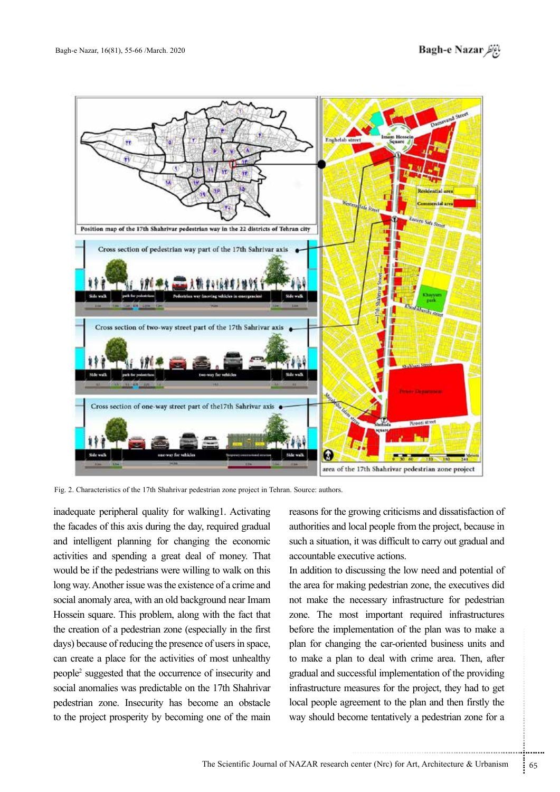

Fig. 2. Characteristics of the 17th Shahrivar pedestrian zone project in Tehran. Source: authors.

inadequate peripheral quality for walking for Activating the facades of this axis during the day, required gradual and intelligent planning for changing the economic activities and spending a great deal of money. That would be if the pedestrians were willing to walk on this long way. Another issue was the existence of a crime and social anomaly area, with an old background near Imam Hossein square. This problem, along with the fact that the creation of a pedestrian zone (especially in the first days) because of reducing the presence of users in space, can create a place for the activities of most unhealthy people<sup>2</sup> suggested that the occurrence of insecurity and social anomalies was predictable on the 17th Shahrivar pedestrian zone. Insecurity has become an obstacle to the project prosperity by becoming one of the main

reasons for the growing criticisms and dissatisfaction of authorities and local people from the project, because in such a situation, it was difficult to carry out gradual and accountable executive actions.

Ementation of the plan was to make a<br>ng the car-oriented business units and<br>to deal with crime area. Then, after<br>ressful implementation of the providing<br>easures for the project, they had to get<br>eement to the plan and then In addition to discussing the low need and potential of the area for making pedestrian zone, the executives did not make the necessary infrastructure for pedestrian zone. The most important required infrastructures before the implementation of the plan was to make a plan for changing the car-oriented business units and to make a plan to deal with crime area. Then, after gradual and successful implementation of the providing infrastructure measures for the project, they had to get local people agreement to the plan and then firstly the way should become tentatively a pedestrian zone for a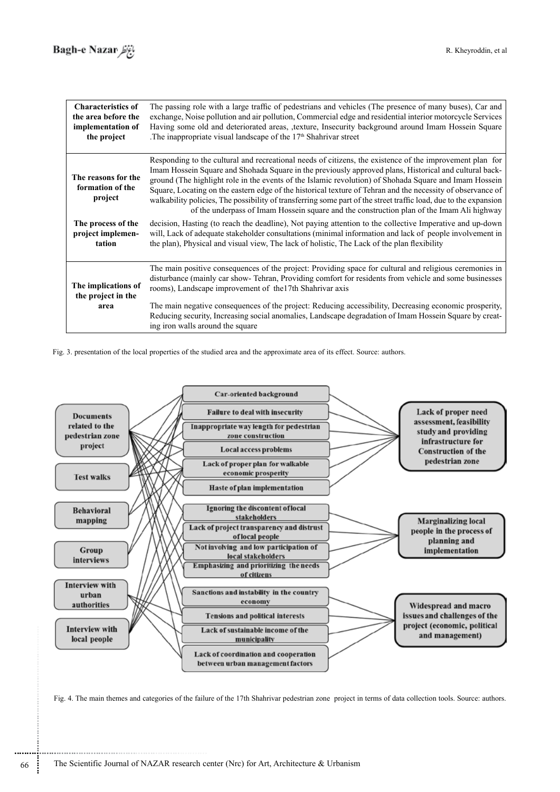| <b>Characteristics of</b><br>the area before the<br>implementation of<br>the project | The passing role with a large traffic of pedestrians and vehicles (The presence of many buses), Car and<br>exchange, Noise pollution and air pollution, Commercial edge and residential interior motorcycle Services<br>Having some old and deteriorated areas, ,texture, Insecurity background around Imam Hossein Square<br>The inappropriate visual landscape of the $17th$ Shahrivar street                                                                                                                                                                                                                                                              |
|--------------------------------------------------------------------------------------|--------------------------------------------------------------------------------------------------------------------------------------------------------------------------------------------------------------------------------------------------------------------------------------------------------------------------------------------------------------------------------------------------------------------------------------------------------------------------------------------------------------------------------------------------------------------------------------------------------------------------------------------------------------|
| The reasons for the<br>formation of the<br>project                                   | Responding to the cultural and recreational needs of citizens, the existence of the improvement plan for<br>Imam Hossein Square and Shohada Square in the previously approved plans, Historical and cultural back-<br>ground (The highlight role in the events of the Islamic revolution) of Shohada Square and Imam Hossein<br>Square, Locating on the eastern edge of the historical texture of Tehran and the necessity of observance of<br>walkability policies, The possibility of transferring some part of the street traffic load, due to the expansion<br>of the underpass of Imam Hossein square and the construction plan of the Imam Ali highway |
| The process of the<br>project implemen-<br>tation                                    | decision, Hasting (to reach the deadline), Not paying attention to the collective Imperative and up-down<br>will, Lack of adequate stakeholder consultations (minimal information and lack of people involvement in<br>the plan), Physical and visual view, The lack of holistic, The Lack of the plan flexibility                                                                                                                                                                                                                                                                                                                                           |
| The implications of<br>the project in the<br>area                                    | The main positive consequences of the project: Providing space for cultural and religious ceremonies in<br>disturbance (mainly car show-Tehran, Providing comfort for residents from vehicle and some businesses<br>rooms), Landscape improvement of the 17th Shahrivar axis                                                                                                                                                                                                                                                                                                                                                                                 |
|                                                                                      | The main negative consequences of the project: Reducing accessibility, Decreasing economic prosperity,<br>Reducing security, Increasing social anomalies, Landscape degradation of Imam Hossein Square by creat-<br>ing iron walls around the square                                                                                                                                                                                                                                                                                                                                                                                                         |

Fig. 3. presentation of the local properties of the studied area and the approximate area of its effect. Source: authors.



Fig. 4. The main themes and categories of the failure of the 17th Shahrivar pedestrian zone project in terms of data collection tools. Source: authors.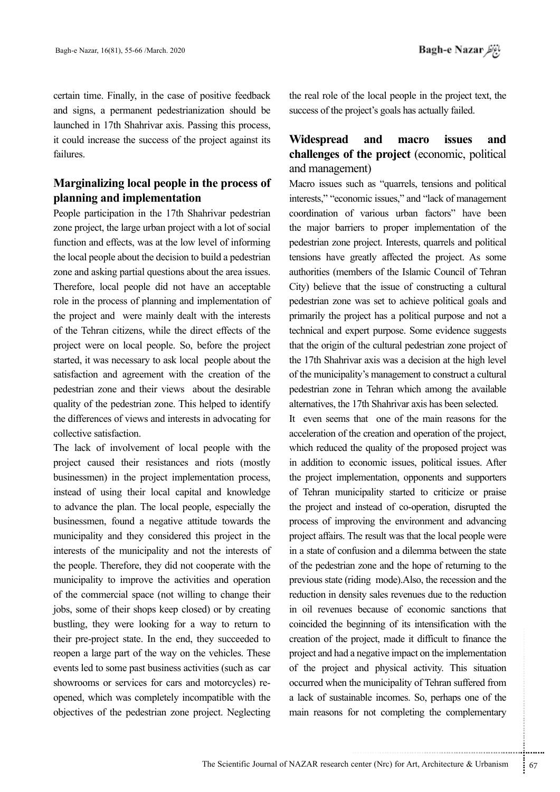certain time. Finally, in the case of positive feedback and signs, a permanent pedestrianization should be launched in 17th Shahrivar axis. Passing this process, it could increase the success of the project against its .failures

# **Marginalizing local people in the process of implementation and planning**

People participation in the 17th Shahrivar pedestrian zone project, the large urban project with a lot of social function and effects, was at the low level of informing the local people about the decision to build a pedestrian zone and asking partial questions about the area issues. Therefore, local people did not have an acceptable role in the process of planning and implementation of the project and were mainly dealt with the interests of the Tehran citizens, while the direct effects of the project were on local people. So, before the project started, it was necessary to ask local people about the satisfaction and agreement with the creation of the pedestrian zone and their views about the desirable quality of the pedestrian zone. This helped to identify the differences of views and interests in advocating for collective satisfaction.

The lack of involvement of local people with the project caused their resistances and riots (mostly businessmen) in the project implementation process, instead of using their local capital and knowledge to advance the plan. The local people, especially the businessmen, found a negative attitude towards the municipality and they considered this project in the interests of the municipality and not the interests of the people. Therefore, they did not cooperate with the municipality to improve the activities and operation of the commercial space (not willing to change their jobs, some of their shops keep closed) or by creating bustling, they were looking for a way to return to their pre-project state. In the end, they succeeded to reopen a large part of the way on the vehicles. These events led to some past business activities (such as car opened, which was completely incompatible with the showrooms or services for cars and motorcycles) reobjectives of the pedestrian zone project. Neglecting

the real role of the local people in the project text, the success of the project's goals has actually failed.

# **Widespread and macro issues and challenges** of the project (economic, political and management)

Macro issues such as "quarrels, tensions and political interests," "economic issues," and "lack of management coordination of various urban factors" have been the major barriers to proper implementation of the pedestrian zone project. Interests, quarrels and political tensions have greatly affected the project. As some authorities (members of the Islamic Council of Tehran City) believe that the issue of constructing a cultural pedestrian zone was set to achieve political goals and primarily the project has a political purpose and not a technical and expert purpose. Some evidence suggests that the origin of the cultural pedestrian zone project of the 17th Shahrivar axis was a decision at the high level of the municipality's management to construct a cultural pedestrian zone in Tehran which among the available alternatives, the 17th Shahrivar axis has been selected.

project, made it difficult to finance the<br>a negative impact on the implementation<br>and physical activity. This situation<br>the municipality of Tehran suffered from<br>nable incomes. So, perhaps one of the<br>produce into the comple It even seems that one of the main reasons for the acceleration of the creation and operation of the project, which reduced the quality of the proposed project was in addition to economic issues, political issues. After the project implementation, opponents and supporters of Tehran municipality started to criticize or praise the project and instead of co-operation, disrupted the process of improving the environment and advancing project affairs. The result was that the local people were. in a state of confusion and a dilemma between the state of the pedestrian zone and the hope of returning to the previous state (riding mode).Also, the recession and the reduction in density sales revenues due to the reduction in oil revenues because of economic sanctions that coincided the beginning of its intensification with the creation of the project, made it difficult to finance the project and had a negative impact on the implementation of the project and physical activity. This situation occurred when the municipality of Tehran suffered from a lack of sustainable incomes. So, perhaps one of the main reasons for not completing the complementary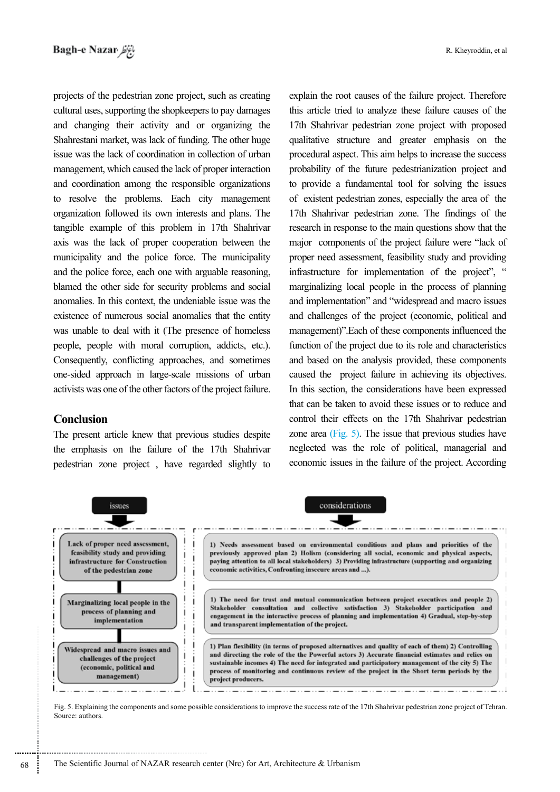projects of the pedestrian zone project, such as creating cultural uses, supporting the shopkeepers to pay damages and changing their activity and or organizing the Shahrestani market, was lack of funding. The other huge issue was the lack of coordination in collection of urban management, which caused the lack of proper interaction and coordination among the responsible organizations to resolve the problems. Each city management organization followed its own interests and plans. The tangible example of this problem in 17th Shahrivar axis was the lack of proper cooperation between the municipality and the police force. The municipality and the police force, each one with arguable reasoning, blamed the other side for security problems and social anomalies. In this context, the undeniable issue was the existence of numerous social anomalies that the entity was unable to deal with it (The presence of homeless beople, people with moral corruption, addicts, etc.). Consequently, conflicting approaches, and sometimes one-sided approach in large-scale missions of urban activists was one of the other factors of the project failure.

#### **Conclusion**

The present article knew that previous studies despite the emphasis on the failure of the 17th Shahrivar pedestrian zone project, have regarded slightly to

explain the root causes of the failure project. Therefore this article tried to analyze these failure causes of the 17th Shahrivar pedestrian zone project with proposed qualitative structure and greater emphasis on the procedural aspect. This aim helps to increase the success probability of the future pedestrianization project and to provide a fundamental tool for solving the issues of existent pedestrian zones, especially the area of the 17th Shahrivar pedestrian zone. The findings of the research in response to the main questions show that the major components of the project failure were "lack of proper need assessment, feasibility study and providing infrastructure for implementation of the project", " marginalizing local people in the process of planning and implementation" and "widespread and macro issues and challenges of the project (economic, political and management)". Each of these components influenced the function of the project due to its role and characteristics and based on the analysis provided, these components caused the project failure in achieving its objectives. In this section, the considerations have been expressed that can be taken to avoid these issues or to reduce and control their effects on the 17th Shahrivar pedestrian zone area  $(Fig. 5)$ . The issue that previous studies have neglected was the role of political, managerial and economic issues in the failure of the project. According



Fig. 5. Explaining the components and some possible considerations to improve the success rate of the 17th Shahrivar pedestrian zone project of Tehran. Source: authors.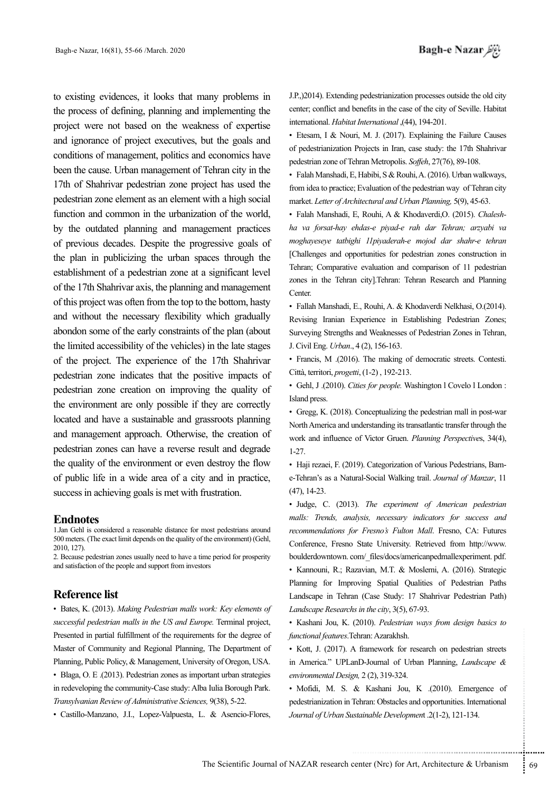to existing evidences, it looks that many problems in the process of defining, planning and implementing the project were not based on the weakness of expertise and ignorance of project executives, but the goals and conditions of management, politics and economics have been the cause. Urban management of Tehran city in the 17th of Shahrivar pedestrian zone project has used the pedestrian zone element as an element with a high social function and common in the urbanization of the world, by the outdated planning and management practices of previous decades. Despite the progressive goals of the plan in publicizing the urban spaces through the establishment of a pedestrian zone at a significant level of the 17th Shahrivar axis, the planning and management of this project was often from the top to the bottom, hasty and without the necessary flexibility which gradually abondon some of the early constraints of the plan (about the limited accessibility of the vehicles) in the late stages of the project. The experience of the 17th Shahrivar pedestrian zone indicates that the positive impacts of pedestrian zone creation on improving the quality of the environment are only possible if they are correctly located and have a sustainable and grassroots planning and management approach. Otherwise, the creation of pedestrian zones can have a reverse result and degrade the quality of the environment or even destroy the flow of public life in a wide area of a city and in practice, success in achieving goals is met with frustration.

#### **Endnotes**

1. Jan Gehl is considered a reasonable distance for most pedestrians around 500 meters. (The exact limit depends on the quality of the environment) (Gehl, 2010, 127).

2. Because pedestrian zones usually need to have a time period for prosperity and satisfaction of the people and support from investors

#### **Reference** list

• Bates, K. (2013). Making Pedestrian malls work: Key elements of successful pedestrian malls in the US and Europe. Terminal project, Presented in partial fulfillment of the requirements for the degree of Master of Community and Regional Planning, The Department of Planning, Public Policy, & Management, University of Oregon, USA. • Blaga, O. E . (2013). Pedestrian zones as important urban strategies in redeveloping the community-Case study: Alba Iulia Borough Park. Transylvanian Review of Administrative Sciences, 9(38), 5-22.

• Castillo-Manzano, J.I., Lopez-Valpuesta, L. & Asencio-Flores,

J.P., (2014). Extending pedestrianization processes outside the old city center; conflict and benefits in the case of the city of Seville. Habitat international. *Habitat International* (44), 194-201.

• Etesam, I & Nouri, M. J. (2017). Explaining the Failure Causes of pedestrianization Projects in Iran, case study: the 17th Shahrivar pedestrian zone of Tehran Metropolis. *Soffeh*, 27(76), 89-108.

• Falah Manshadi, E, Habibi, S & Rouhi, A. (2016). Urban walkways, from idea to practice; Evaluation of the pedestrian way of Tehran city market. Letter of Architectural and Urban Planning, 5(9), 45-63.

ha va forsat-hay ehdas-e piyad-e rah dar Tehran; arzyabi va • Falah Manshadi, E, Rouhi, A & Khodaverdi, O. (2015). Chalesh*moghayeseye tatbighi llpiyaderah-e mojod dar shahr-e tehran* [Challenges and opportunities for pedestrian zones construction in Tehran; Comparative evaluation and comparison of 11 pedestrian zones in the Tehran city Tehran: Tehran Research and Planning Center.

· Fallah Manshadi, E., Rouhi, A. & Khodaverdi Nelkhasi, O.(2014). Revising Iranian Experience in Establishing Pedestrian Zones: Surveying Strengths and Weaknesses of Pedestrian Zones in Tehran, J. Civil Eng. *Urban.*, 4 (2), 156-163.

• Francis, M .(2016). The making of democratic streets. Contesti. Città, territori, *progetti*, (1-2), 192-213.

· Gehl, J .(2010). Cities for people. Washington 1 Covelo 1 London : Island press.

• Gregg, K.  $(2018)$ . Conceptualizing the pedestrian mall in post-war North America and understanding its transatlantic transfer through the work and influence of Victor Gruen. *Planning Perspectives*, 34(4), 1-27.

e-Tehran's as a Natural-Social Walking trail. *Journal of Manzar*, 11 • Haji rezaei, F. (2019). Categorization of Various Pedestrians, Bam- $(47), 14-23.$ 

• Judge, C. (2013). The experiment of American pedestrian malls: Trends, analysis, necessary indicators for success and recommendations for Fresno's Fulton Mall. Fresno, CA: Futures Conference, Fresno State University. Retrieved from http://www. boulderdowntown.com/ files/docs/americanpedmallexperiment.pdf. • Kannouni, R.; Razavian, M.T. & Moslemi, A. (2016). Strategic Planning for Improving Spatial Qualities of Pedestrian Paths Landscape in Tehran (Case Study: 17 Shahrivar Pedestrian Path) Landscape Researchs in the city, 3(5), 67-93.

• Kashani Jou, K. (2010). Pedestrian ways from design basics to .Azarakhsh :Tehran.*features functional*

• Kott, J. (2017). A framework for research on pedestrian streets in America." UPLanD-Journal of Urban Planning, *Landscape &* environmental Design, 2 (2), 319-324.

Fehran: Azarakhsh.<br>
A framework for research on pedestrian streets<br>
anD-Journal of Urban Planning, *Landscape &*<br>  $g_n$ , 2(2), 319-324.<br>
& Kashani Jou, K (2010). Emergence of<br>
Tehran: Obstacles and opportunities. Internatio • Mofidi, M. S. & Kashani Jou, K .(2010). Emergence of pedestrianization in Tehran: Obstacles and opportunities. International 121-134. ,(1-2).2 *Developmen*t *Sustainable Urban of Journal*